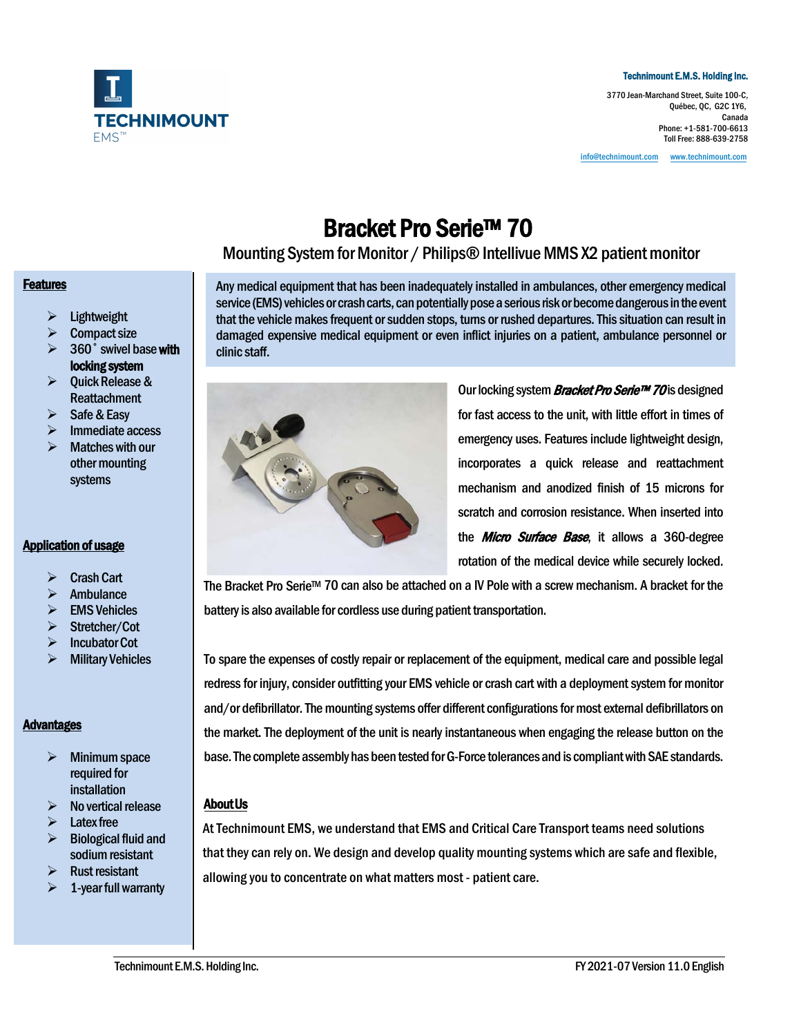

#### Technimount E.M.S. Holding Inc.

3770 Jean-Marchand Street, Suite 100-C, Québec, QC, G2C 1Y6, Canada Phone: +1-581-700-6613 Toll Free: 888-639-2758

[info@technimount.com](mailto:info@technimount.com) www.technimount.com

**Bracket Pro Serie™ 70**<br>Mounting System for Monitor / Philips® Intellivue MMS X2 patient monitor

#### **Features**

- $\triangleright$  Lightweight
- $\triangleright$  Compact size
- $> 360°$  swivel base with locking system
- $\triangleright$  Quick Release & Reattachment
- $\triangleright$  Safe & Easy
- Immediate access
- $\triangleright$  Matches with our other mounting systems

### Application of usage

- $\triangleright$  Crash Cart
- **Ambulance**
- EMS Vehicles
- > Stretcher/Cot
- $\triangleright$  Incubator Cot
- $\triangleright$  Military Vehicles

### Advantages

- $\triangleright$  Minimum space required for installation
- $\triangleright$  No vertical release
- Latex free
- Biological fluid and sodium resistant
- Rust resistant
- 1-year full warranty

Any medical equipment that has been inadequately installed in ambulances, other emergencymedical service (EMS) vehicles or crash carts, can potentially pose a serious risk or become dangerous in the event that the vehicle makes frequent or sudden stops, turns or rushed departures. This situation can result in damaged expensive medical equipment or even inflict injuries on a patient, ambulance personnel or clinic staff.



Our locking system *Bracket Pro Serie™ 70* is designed for fast access to the unit, with little effort in times of emergency uses. Features include lightweight design, incorporates a quick release and reattachment mechanism and anodized finish of 15 microns for scratch and corrosion resistance. When inserted into the *Micro Surface Base*, it allows a 360-degree rotation of the medical device while securely locked.

The Bracket Pro Serie™ 70 can also be attached on a IV Pole with a screw mechanism. A bracket for the battery is also available for cordless use during patient transportation.

To spare the expenses of costly repair or replacement of the equipment, medical care and possible legal redress for injury, consider outfitting your EMS vehicle or crash cart with a deployment system for monitor and/or defibrillator. The mounting systems offer different configurations for most external defibrillators on the market. The deployment of the unit is nearly instantaneous when engaging the release button on the base. The complete assembly has been tested for G-Force tolerances and is compliant with SAE standards.

### About Us

At Technimount EMS, we understand that EMS and Critical Care Transport teams need solutions that they can rely on. We design and develop quality mounting systems which are safe and flexible, allowing you to concentrate on what matters most - patient care.